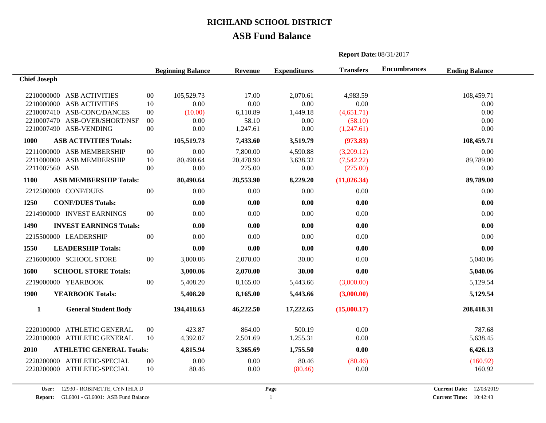## **ASB Fund Balance**

|                             |                                 |        | <b>Beginning Balance</b> | Revenue   | <b>Expenditures</b> | <b>Transfers</b> | <b>Encumbrances</b> | <b>Ending Balance</b> |  |
|-----------------------------|---------------------------------|--------|--------------------------|-----------|---------------------|------------------|---------------------|-----------------------|--|
| <b>Chief Joseph</b>         |                                 |        |                          |           |                     |                  |                     |                       |  |
|                             | 2210000000 ASB ACTIVITIES       | $00\,$ | 105,529.73               | 17.00     | 2,070.61            | 4,983.59         |                     | 108,459.71            |  |
|                             | 2210000000 ASB ACTIVITIES       | 10     | 0.00                     | 0.00      | 0.00                | 0.00             |                     | 0.00                  |  |
|                             | 2210007410 ASB-CONC/DANCES      | $00\,$ | (10.00)                  | 6,110.89  | 1,449.18            | (4,651.71)       |                     | 0.00                  |  |
|                             | 2210007470 ASB-OVER/SHORT/NSF   | $00\,$ | 0.00                     | 58.10     | 0.00                | (58.10)          |                     | 0.00                  |  |
|                             | 2210007490 ASB-VENDING          | $00\,$ | 0.00                     | 1,247.61  | 0.00                | (1,247.61)       |                     | 0.00                  |  |
| 1000                        | <b>ASB ACTIVITIES Totals:</b>   |        | 105,519.73               | 7,433.60  | 3,519.79            | (973.83)         |                     | 108,459.71            |  |
|                             | 2211000000 ASB MEMBERSHIP       | $00\,$ | 0.00                     | 7,800.00  | 4,590.88            | (3,209.12)       |                     | 0.00                  |  |
|                             | 2211000000 ASB MEMBERSHIP       | 10     | 80,490.64                | 20,478.90 | 3,638.32            | (7,542.22)       |                     | 89,789.00             |  |
|                             | 2211007560 ASB                  | $00\,$ | 0.00                     | 275.00    | 0.00                | (275.00)         |                     | 0.00                  |  |
| 1100                        | <b>ASB MEMBERSHIP Totals:</b>   |        | 80,490.64                | 28,553.90 | 8,229.20            | (11, 026.34)     |                     | 89,789.00             |  |
|                             | 2212500000 CONF/DUES            | $00\,$ | 0.00                     | 0.00      | 0.00                | 0.00             |                     | 0.00                  |  |
| 1250                        | <b>CONF/DUES Totals:</b>        |        | 0.00                     | 0.00      | 0.00                | 0.00             |                     | 0.00                  |  |
|                             | 2214900000 INVEST EARNINGS      | $00\,$ | 0.00                     | 0.00      | 0.00                | 0.00             |                     | 0.00                  |  |
| 1490                        | <b>INVEST EARNINGS Totals:</b>  |        | 0.00                     | 0.00      | 0.00                | 0.00             |                     | 0.00                  |  |
| 2215500000 LEADERSHIP       |                                 | $00\,$ | 0.00                     | 0.00      | 0.00                | 0.00             |                     | 0.00                  |  |
| 1550                        | <b>LEADERSHIP Totals:</b>       |        | 0.00                     | 0.00      | 0.00                | 0.00             |                     | 0.00                  |  |
|                             | 2216000000 SCHOOL STORE         | $00\,$ | 3,000.06                 | 2,070.00  | 30.00               | 0.00             |                     | 5,040.06              |  |
| 1600                        | <b>SCHOOL STORE Totals:</b>     |        | 3,000.06                 | 2,070.00  | 30.00               | 0.00             |                     | 5,040.06              |  |
|                             | 2219000000 YEARBOOK             | $00\,$ | 5,408.20                 | 8,165.00  | 5,443.66            | (3,000.00)       |                     | 5,129.54              |  |
| 1900                        | <b>YEARBOOK Totals:</b>         |        | 5,408.20                 | 8,165.00  | 5,443.66            | (3,000.00)       |                     | 5,129.54              |  |
| $\mathbf{1}$                | <b>General Student Body</b>     |        | 194,418.63               | 46,222.50 | 17,222.65           | (15,000.17)      |                     | 208,418.31            |  |
| 2220100000 ATHLETIC GENERAL |                                 | $00\,$ | 423.87                   | 864.00    | 500.19              | 0.00             |                     | 787.68                |  |
|                             | 2220100000 ATHLETIC GENERAL     | 10     | 4,392.07                 | 2,501.69  | 1,255.31            | 0.00             |                     | 5,638.45              |  |
| 2010                        | <b>ATHLETIC GENERAL Totals:</b> |        | 4,815.94                 | 3,365.69  | 1,755.50            | 0.00             |                     | 6,426.13              |  |
|                             | 2220200000 ATHLETIC-SPECIAL     | $00\,$ | 0.00                     | 0.00      | 80.46               | (80.46)          |                     | (160.92)              |  |
|                             | 2220200000 ATHLETIC-SPECIAL     | 10     | 80.46                    | 0.00      | (80.46)             | 0.00             |                     | 160.92                |  |

**Report Date:**08/31/2017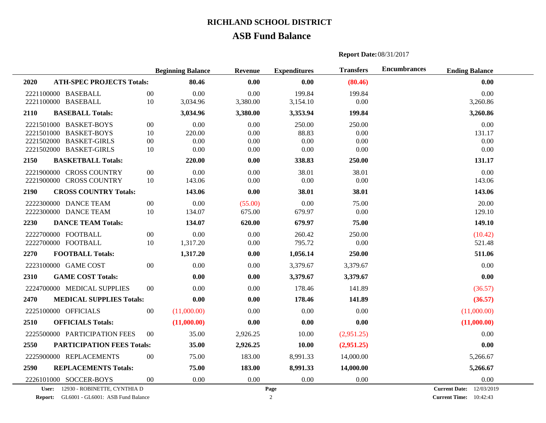## **ASB Fund Balance**

### **Report Date:**08/31/2017

|      |                                    |        | <b>Beginning Balance</b> | <b>Revenue</b> | <b>Expenditures</b> | <b>Transfers</b> | <b>Encumbrances</b><br><b>Ending Balance</b> |  |
|------|------------------------------------|--------|--------------------------|----------------|---------------------|------------------|----------------------------------------------|--|
| 2020 | <b>ATH-SPEC PROJECTS Totals:</b>   |        | 80.46                    | 0.00           | 0.00                | (80.46)          | 0.00                                         |  |
|      | 2221100000 BASEBALL                | $00\,$ | 0.00                     | 0.00           | 199.84              | 199.84           | 0.00                                         |  |
|      | 2221100000 BASEBALL                | 10     | 3,034.96                 | 3,380.00       | 3,154.10            | 0.00             | 3,260.86                                     |  |
| 2110 | <b>BASEBALL Totals:</b>            |        | 3,034.96                 | 3,380.00       | 3,353.94            | 199.84           | 3,260.86                                     |  |
|      | 2221501000 BASKET-BOYS             | $00\,$ | 0.00                     | 0.00           | 250.00              | 250.00           | 0.00                                         |  |
|      | 2221501000 BASKET-BOYS             | 10     | 220.00                   | 0.00           | 88.83               | 0.00             | 131.17                                       |  |
|      | 2221502000 BASKET-GIRLS            | $00\,$ | 0.00                     | 0.00           | 0.00                | 0.00             | 0.00                                         |  |
|      | 2221502000 BASKET-GIRLS            | 10     | 0.00                     | 0.00           | 0.00                | 0.00             | $0.00\,$                                     |  |
| 2150 | <b>BASKETBALL Totals:</b>          |        | 220.00                   | 0.00           | 338.83              | 250.00           | 131.17                                       |  |
|      | 2221900000 CROSS COUNTRY           | $00\,$ | 0.00                     | 0.00           | 38.01               | 38.01            | 0.00                                         |  |
|      | 2221900000 CROSS COUNTRY           | 10     | 143.06                   | 0.00           | 0.00                | 0.00             | 143.06                                       |  |
| 2190 | <b>CROSS COUNTRY Totals:</b>       |        | 143.06                   | 0.00           | 38.01               | 38.01            | 143.06                                       |  |
|      | 2222300000 DANCE TEAM              | $00\,$ | 0.00                     | (55.00)        | 0.00                | 75.00            | 20.00                                        |  |
|      | 2222300000 DANCE TEAM              | 10     | 134.07                   | 675.00         | 679.97              | 0.00             | 129.10                                       |  |
| 2230 | <b>DANCE TEAM Totals:</b>          |        | 134.07                   | 620.00         | 679.97              | 75.00            | 149.10                                       |  |
|      | 2222700000 FOOTBALL                | $00\,$ | 0.00                     | 0.00           | 260.42              | 250.00           | (10.42)                                      |  |
|      | 2222700000 FOOTBALL                | 10     | 1,317.20                 | 0.00           | 795.72              | 0.00             | 521.48                                       |  |
| 2270 | <b>FOOTBALL Totals:</b>            |        | 1,317.20                 | 0.00           | 1,056.14            | 250.00           | 511.06                                       |  |
|      | 2223100000 GAME COST               | $00\,$ | 0.00                     | 0.00           | 3,379.67            | 3,379.67         | 0.00                                         |  |
| 2310 | <b>GAME COST Totals:</b>           |        | 0.00                     | 0.00           | 3,379.67            | 3,379.67         | 0.00                                         |  |
|      | 2224700000 MEDICAL SUPPLIES        | $00\,$ | 0.00                     | 0.00           | 178.46              | 141.89           | (36.57)                                      |  |
| 2470 | <b>MEDICAL SUPPLIES Totals:</b>    |        | 0.00                     | 0.00           | 178.46              | 141.89           | (36.57)                                      |  |
|      | 2225100000 OFFICIALS               | $00\,$ | (11,000.00)              | 0.00           | 0.00                | 0.00             | (11,000.00)                                  |  |
| 2510 | <b>OFFICIALS Totals:</b>           |        | (11,000.00)              | 0.00           | 0.00                | 0.00             | (11,000.00)                                  |  |
|      | 2225500000 PARTICIPATION FEES      | $00\,$ | 35.00                    | 2,926.25       | 10.00               | (2,951.25)       | 0.00                                         |  |
| 2550 | <b>PARTICIPATION FEES Totals:</b>  |        | 35.00                    | 2,926.25       | 10.00               | (2,951.25)       | 0.00                                         |  |
|      | 2225900000 REPLACEMENTS            | $00\,$ | 75.00                    | 183.00         | 8,991.33            | 14,000.00        | 5,266.67                                     |  |
| 2590 | <b>REPLACEMENTS Totals:</b>        |        | 75.00                    | 183.00         | 8,991.33            | 14,000.00        | 5,266.67                                     |  |
|      | 2226101000 SOCCER-BOYS             | $00\,$ | 0.00                     | 0.00           | 0.00                | 0.00             | 0.00                                         |  |
|      | User: 12930 - ROBINETTE, CYNTHIA D |        |                          |                | Page                |                  | <b>Current Date:</b> 12/03/2019              |  |

**Report:** GL6001 - GL6001: ASB Fund Balance **Current Time:** 2

**Current Time:** 10:42:43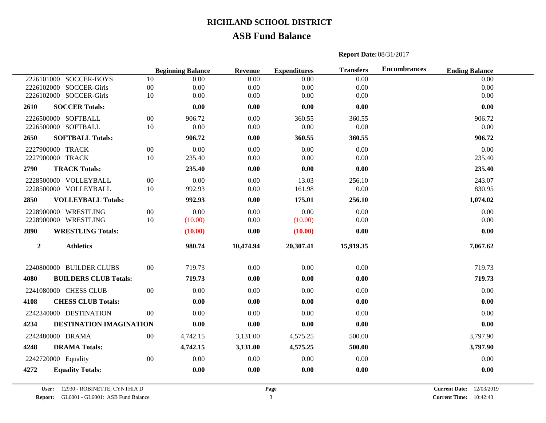## **ASB Fund Balance**

#### **Report Date:**08/31/2017

|                     |                              |        | <b>Beginning Balance</b> | <b>Revenue</b> | <b>Expenditures</b> | <b>Transfers</b> | <b>Encumbrances</b><br><b>Ending Balance</b> |          |
|---------------------|------------------------------|--------|--------------------------|----------------|---------------------|------------------|----------------------------------------------|----------|
|                     | 2226101000 SOCCER-BOYS       | 10     | 0.00                     | 0.00           | 0.00                | 0.00             |                                              | 0.00     |
|                     | 2226102000 SOCCER-Girls      | $00\,$ | 0.00                     | 0.00           | 0.00                | 0.00             |                                              | 0.00     |
|                     | 2226102000 SOCCER-Girls      | 10     | 0.00                     | 0.00           | 0.00                | 0.00             |                                              | 0.00     |
| 2610                | <b>SOCCER Totals:</b>        |        | 0.00                     | 0.00           | 0.00                | 0.00             |                                              | 0.00     |
|                     | 2226500000 SOFTBALL          | $00\,$ | 906.72                   | 0.00           | 360.55              | 360.55           | 906.72                                       |          |
|                     | 2226500000 SOFTBALL          | 10     | 0.00                     | 0.00           | 0.00                | 0.00             |                                              | 0.00     |
| 2650                | <b>SOFTBALL Totals:</b>      |        | 906.72                   | 0.00           | 360.55              | 360.55           | 906.72                                       |          |
| 2227900000 TRACK    |                              | $00\,$ | 0.00                     | 0.00           | 0.00                | 0.00             |                                              | 0.00     |
| 2227900000 TRACK    |                              | 10     | 235.40                   | 0.00           | 0.00                | 0.00             | 235.40                                       |          |
| 2790                | <b>TRACK Totals:</b>         |        | 235.40                   | 0.00           | 0.00                | 0.00             | 235.40                                       |          |
|                     | 2228500000 VOLLEYBALL        | $00\,$ | 0.00                     | 0.00           | 13.03               | 256.10           | 243.07                                       |          |
|                     | 2228500000 VOLLEYBALL        | 10     | 992.93                   | 0.00           | 161.98              | 0.00             | 830.95                                       |          |
| 2850                | <b>VOLLEYBALL Totals:</b>    |        | 992.93                   | 0.00           | 175.01              | 256.10           | 1,074.02                                     |          |
|                     | 2228900000 WRESTLING         | $00\,$ | 0.00                     | 0.00           | 0.00                | 0.00             |                                              | 0.00     |
|                     | 2228900000 WRESTLING         | 10     | (10.00)                  | $0.00\,$       | (10.00)             | 0.00             |                                              | $0.00\,$ |
| 2890                | <b>WRESTLING Totals:</b>     |        | (10.00)                  | 0.00           | (10.00)             | 0.00             |                                              | 0.00     |
| $\boldsymbol{2}$    | <b>Athletics</b>             |        | 980.74                   | 10,474.94      | 20,307.41           | 15,919.35        | 7,067.62                                     |          |
|                     | 2240800000 BUILDER CLUBS     | $00\,$ | 719.73                   | 0.00           | 0.00                | 0.00             | 719.73                                       |          |
| 4080                | <b>BUILDERS CLUB Totals:</b> |        | 719.73                   | 0.00           | 0.00                | 0.00             | 719.73                                       |          |
|                     | 2241080000 CHESS CLUB        | $00\,$ | 0.00                     | 0.00           | 0.00                | 0.00             |                                              | 0.00     |
| 4108                | <b>CHESS CLUB Totals:</b>    |        | 0.00                     | 0.00           | 0.00                | 0.00             |                                              | 0.00     |
|                     | 2242340000 DESTINATION       | $00\,$ | 0.00                     | 0.00           | 0.00                | 0.00             |                                              | 0.00     |
| 4234                | DESTINATION IMAGINATION      |        | 0.00                     | 0.00           | 0.00                | 0.00             |                                              | 0.00     |
|                     | 2242480000 DRAMA             | 00     | 4,742.15                 | 3,131.00       | 4,575.25            | 500.00           | 3,797.90                                     |          |
| 4248                | <b>DRAMA Totals:</b>         |        | 4,742.15                 | 3,131.00       | 4,575.25            | 500.00           | 3,797.90                                     |          |
| 2242720000 Equality |                              | $00\,$ | 0.00                     | 0.00           | 0.00                | 0.00             |                                              | 0.00     |
| 4272                | <b>Equality Totals:</b>      |        | 0.00                     | 0.00           | 0.00                | 0.00             |                                              | 0.00     |

**Page** 

**User:** 12930 - ROBINETTE, CYNTHIA D